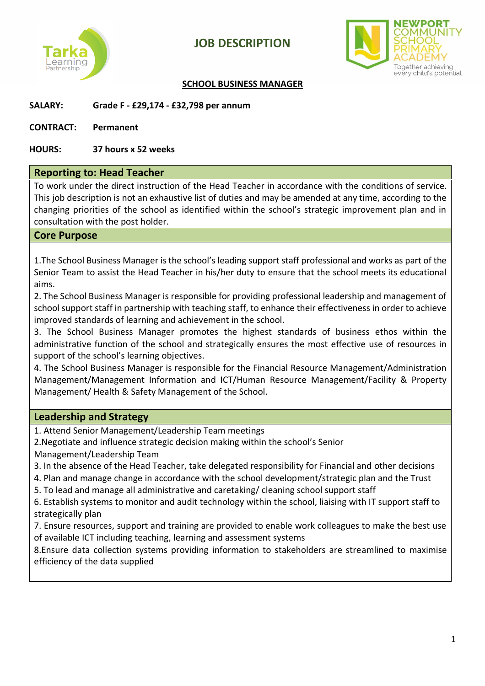



#### **SCHOOL BUSINESS MANAGER**

#### **SALARY: Grade F - £29,174 - £32,798 per annum**

**CONTRACT: Permanent**

#### **HOURS: 37 hours x 52 weeks**

#### **Reporting to: Head Teacher**

To work under the direct instruction of the Head Teacher in accordance with the conditions of service. This job description is not an exhaustive list of duties and may be amended at any time, according to the changing priorities of the school as identified within the school's strategic improvement plan and in consultation with the post holder.

#### **Core Purpose**

1.The School Business Manager is the school's leading support staff professional and works as part of the Senior Team to assist the Head Teacher in his/her duty to ensure that the school meets its educational aims.

2. The School Business Manager is responsible for providing professional leadership and management of school support staff in partnership with teaching staff, to enhance their effectiveness in order to achieve improved standards of learning and achievement in the school.

3. The School Business Manager promotes the highest standards of business ethos within the administrative function of the school and strategically ensures the most effective use of resources in support of the school's learning objectives.

4. The School Business Manager is responsible for the Financial Resource Management/Administration Management/Management Information and ICT/Human Resource Management/Facility & Property Management/ Health & Safety Management of the School.

#### **Leadership and Strategy**

1. Attend Senior Management/Leadership Team meetings

2.Negotiate and influence strategic decision making within the school's Senior

Management/Leadership Team

- 3. In the absence of the Head Teacher, take delegated responsibility for Financial and other decisions
- 4. Plan and manage change in accordance with the school development/strategic plan and the Trust

5. To lead and manage all administrative and caretaking/ cleaning school support staff

6. Establish systems to monitor and audit technology within the school, liaising with IT support staff to strategically plan

7. Ensure resources, support and training are provided to enable work colleagues to make the best use of available ICT including teaching, learning and assessment systems

8.Ensure data collection systems providing information to stakeholders are streamlined to maximise efficiency of the data supplied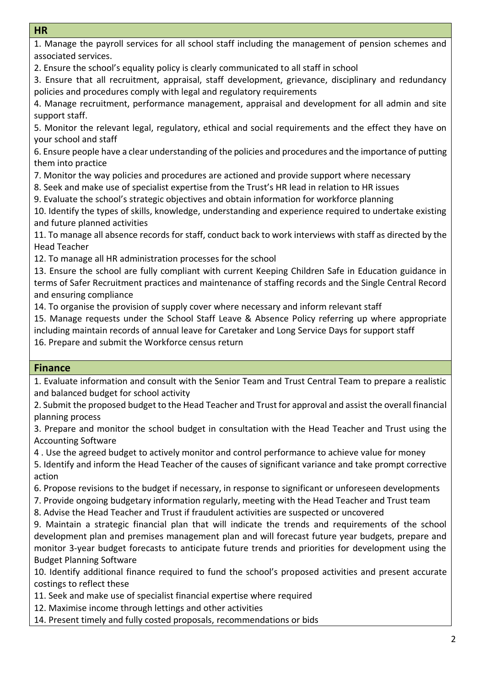#### **HR**

1. Manage the payroll services for all school staff including the management of pension schemes and associated services.

2. Ensure the school's equality policy is clearly communicated to all staff in school

3. Ensure that all recruitment, appraisal, staff development, grievance, disciplinary and redundancy policies and procedures comply with legal and regulatory requirements

4. Manage recruitment, performance management, appraisal and development for all admin and site support staff.

5. Monitor the relevant legal, regulatory, ethical and social requirements and the effect they have on your school and staff

6. Ensure people have a clear understanding of the policies and procedures and the importance of putting them into practice

7. Monitor the way policies and procedures are actioned and provide support where necessary

8. Seek and make use of specialist expertise from the Trust's HR lead in relation to HR issues

9. Evaluate the school's strategic objectives and obtain information for workforce planning

10. Identify the types of skills, knowledge, understanding and experience required to undertake existing and future planned activities

11. To manage all absence records for staff, conduct back to work interviews with staff as directed by the Head Teacher

12. To manage all HR administration processes for the school

13. Ensure the school are fully compliant with current Keeping Children Safe in Education guidance in terms of Safer Recruitment practices and maintenance of staffing records and the Single Central Record and ensuring compliance

14. To organise the provision of supply cover where necessary and inform relevant staff

15. Manage requests under the School Staff Leave & Absence Policy referring up where appropriate including maintain records of annual leave for Caretaker and Long Service Days for support staff 16. Prepare and submit the Workforce census return

#### **Finance**

1. Evaluate information and consult with the Senior Team and Trust Central Team to prepare a realistic and balanced budget for school activity

2. Submit the proposed budget to the Head Teacher and Trust for approval and assist the overall financial planning process

3. Prepare and monitor the school budget in consultation with the Head Teacher and Trust using the Accounting Software

4 . Use the agreed budget to actively monitor and control performance to achieve value for money

5. Identify and inform the Head Teacher of the causes of significant variance and take prompt corrective action

6. Propose revisions to the budget if necessary, in response to significant or unforeseen developments

7. Provide ongoing budgetary information regularly, meeting with the Head Teacher and Trust team

8. Advise the Head Teacher and Trust if fraudulent activities are suspected or uncovered

9. Maintain a strategic financial plan that will indicate the trends and requirements of the school development plan and premises management plan and will forecast future year budgets, prepare and monitor 3-year budget forecasts to anticipate future trends and priorities for development using the Budget Planning Software

10. Identify additional finance required to fund the school's proposed activities and present accurate costings to reflect these

11. Seek and make use of specialist financial expertise where required

12. Maximise income through lettings and other activities

14. Present timely and fully costed proposals, recommendations or bids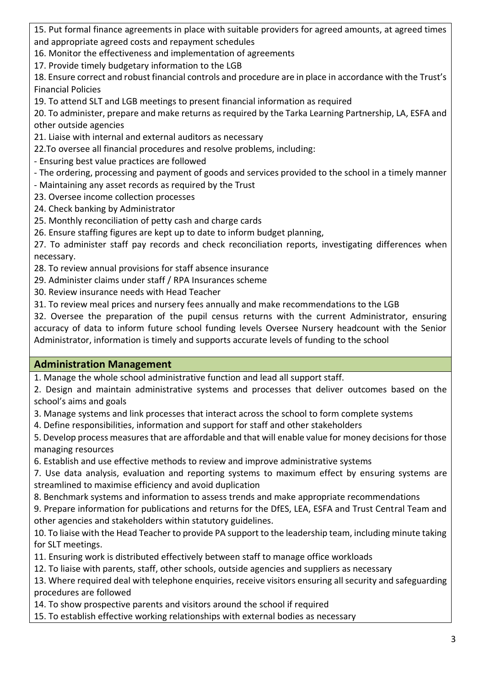15. Put formal finance agreements in place with suitable providers for agreed amounts, at agreed times and appropriate agreed costs and repayment schedules

16. Monitor the effectiveness and implementation of agreements

17. Provide timely budgetary information to the LGB

18. Ensure correct and robust financial controls and procedure are in place in accordance with the Trust's Financial Policies

19. To attend SLT and LGB meetings to present financial information as required

20. To administer, prepare and make returns as required by the Tarka Learning Partnership, LA, ESFA and other outside agencies

21. Liaise with internal and external auditors as necessary

22.To oversee all financial procedures and resolve problems, including:

- Ensuring best value practices are followed

- The ordering, processing and payment of goods and services provided to the school in a timely manner

- Maintaining any asset records as required by the Trust

- 23. Oversee income collection processes
- 24. Check banking by Administrator
- 25. Monthly reconciliation of petty cash and charge cards

26. Ensure staffing figures are kept up to date to inform budget planning,

27. To administer staff pay records and check reconciliation reports, investigating differences when necessary.

28. To review annual provisions for staff absence insurance

29. Administer claims under staff / RPA Insurances scheme

30. Review insurance needs with Head Teacher

31. To review meal prices and nursery fees annually and make recommendations to the LGB

32. Oversee the preparation of the pupil census returns with the current Administrator, ensuring accuracy of data to inform future school funding levels Oversee Nursery headcount with the Senior Administrator, information is timely and supports accurate levels of funding to the school

# **Administration Management**

1. Manage the whole school administrative function and lead all support staff.

2. Design and maintain administrative systems and processes that deliver outcomes based on the school's aims and goals

3. Manage systems and link processes that interact across the school to form complete systems

4. Define responsibilities, information and support for staff and other stakeholders

5. Develop process measures that are affordable and that will enable value for money decisions for those managing resources

6. Establish and use effective methods to review and improve administrative systems

7. Use data analysis, evaluation and reporting systems to maximum effect by ensuring systems are streamlined to maximise efficiency and avoid duplication

8. Benchmark systems and information to assess trends and make appropriate recommendations

9. Prepare information for publications and returns for the DfES, LEA, ESFA and Trust Central Team and other agencies and stakeholders within statutory guidelines.

10. To liaise with the Head Teacher to provide PA support to the leadership team, including minute taking for SLT meetings.

11. Ensuring work is distributed effectively between staff to manage office workloads

12. To liaise with parents, staff, other schools, outside agencies and suppliers as necessary

13. Where required deal with telephone enquiries, receive visitors ensuring all security and safeguarding procedures are followed

14. To show prospective parents and visitors around the school if required

15. To establish effective working relationships with external bodies as necessary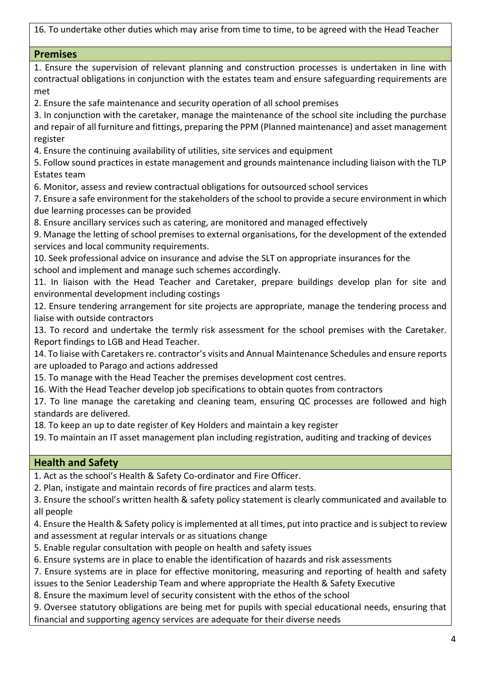16. To undertake other duties which may arise from time to time, to be agreed with the Head Teacher

| <b>Premises</b>                                                                                                                                                                                                                                                                                                                                                                     |
|-------------------------------------------------------------------------------------------------------------------------------------------------------------------------------------------------------------------------------------------------------------------------------------------------------------------------------------------------------------------------------------|
| 1. Ensure the supervision of relevant planning and construction processes is undertaken in line with<br>contractual obligations in conjunction with the estates team and ensure safeguarding requirements are<br>met                                                                                                                                                                |
| 2. Ensure the safe maintenance and security operation of all school premises<br>3. In conjunction with the caretaker, manage the maintenance of the school site including the purchase<br>and repair of all furniture and fittings, preparing the PPM (Planned maintenance) and asset management<br>register                                                                        |
| 4. Ensure the continuing availability of utilities, site services and equipment<br>5. Follow sound practices in estate management and grounds maintenance including liaison with the TLP<br>Estates team                                                                                                                                                                            |
| 6. Monitor, assess and review contractual obligations for outsourced school services<br>7. Ensure a safe environment for the stakeholders of the school to provide a secure environment in which<br>due learning processes can be provided                                                                                                                                          |
| 8. Ensure ancillary services such as catering, are monitored and managed effectively<br>9. Manage the letting of school premises to external organisations, for the development of the extended<br>services and local community requirements.<br>10. Seek professional advice on insurance and advise the SLT on appropriate insurances for the                                     |
| school and implement and manage such schemes accordingly.<br>11. In liaison with the Head Teacher and Caretaker, prepare buildings develop plan for site and<br>environmental development including costings                                                                                                                                                                        |
| 12. Ensure tendering arrangement for site projects are appropriate, manage the tendering process and<br>liaise with outside contractors<br>13. To record and undertake the termly risk assessment for the school premises with the Caretaker.                                                                                                                                       |
| Report findings to LGB and Head Teacher.<br>14. To liaise with Caretakers re. contractor's visits and Annual Maintenance Schedules and ensure reports<br>are uploaded to Parago and actions addressed                                                                                                                                                                               |
| 15. To manage with the Head Teacher the premises development cost centres.<br>16. With the Head Teacher develop job specifications to obtain quotes from contractors<br>17. To line manage the caretaking and cleaning team, ensuring QC processes are followed and high<br>standards are delivered.                                                                                |
| 18. To keep an up to date register of Key Holders and maintain a key register<br>19. To maintain an IT asset management plan including registration, auditing and tracking of devices                                                                                                                                                                                               |
| <b>Health and Safety</b>                                                                                                                                                                                                                                                                                                                                                            |
| 1. Act as the school's Health & Safety Co-ordinator and Fire Officer.<br>2. Plan, instigate and maintain records of fire practices and alarm tests.<br>3. Ensure the school's written health & safety policy statement is clearly communicated and available to<br>all people                                                                                                       |
| 4. Ensure the Health & Safety policy is implemented at all times, put into practice and is subject to review<br>and assessment at regular intervals or as situations change<br>5. Enable regular consultation with people on health and safety issues                                                                                                                               |
| 6. Ensure systems are in place to enable the identification of hazards and risk assessments<br>7. Ensure systems are in place for effective monitoring, measuring and reporting of health and safety<br>issues to the Senior Leadership Team and where appropriate the Health & Safety Executive<br>8. Ensure the maximum level of security consistent with the ethos of the school |

9. Oversee statutory obligations are being met for pupils with special educational needs, ensuring that financial and supporting agency services are adequate for their diverse needs